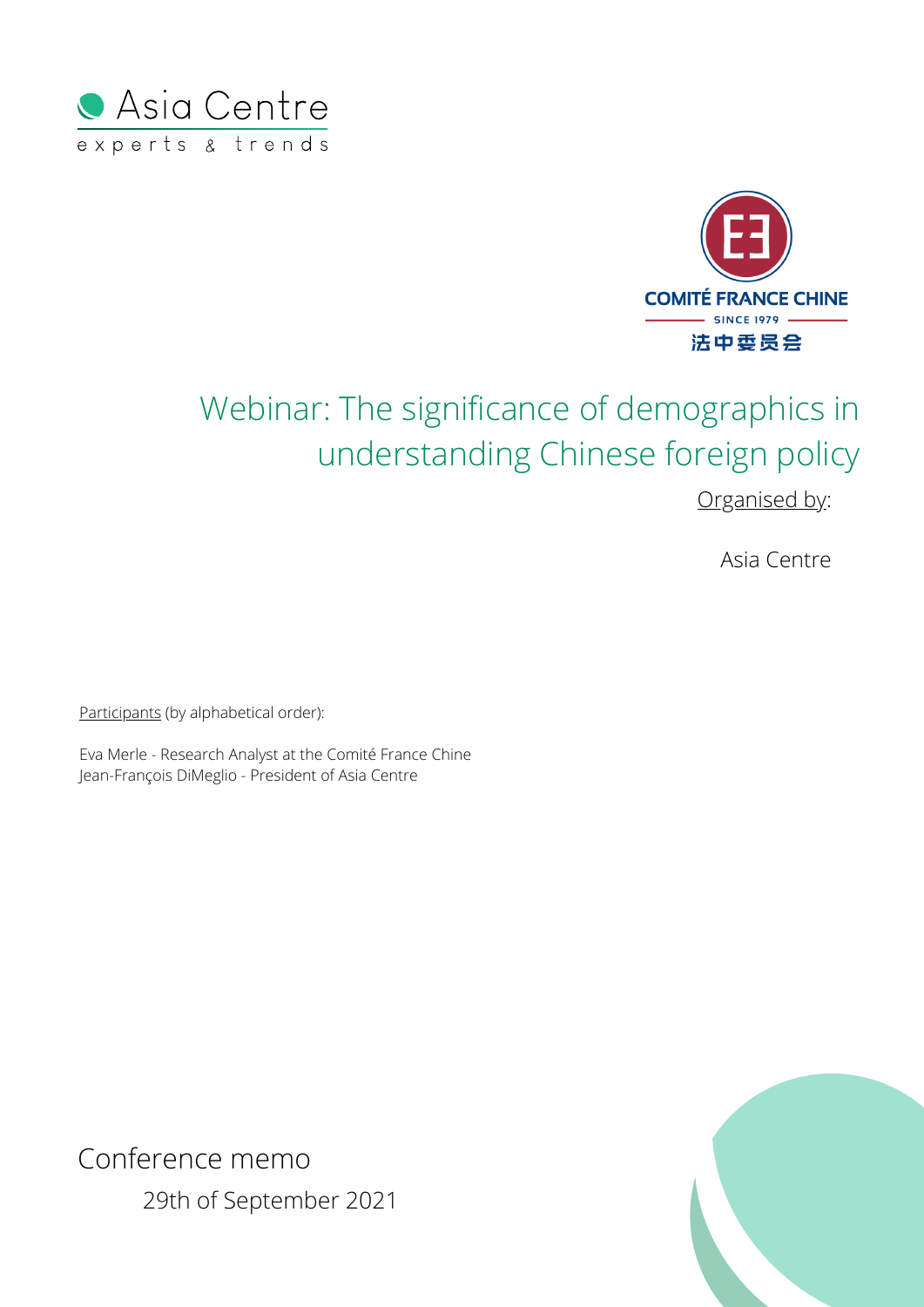



# Webinar: The significance of demographics in understanding Chinese foreign policy

Organised by:

Asia Centre

Participants (by alphabetical order):

Eva Merle - Research Analyst at the Comité France Chine Jean-François DiMeglio - President of Asia Centre



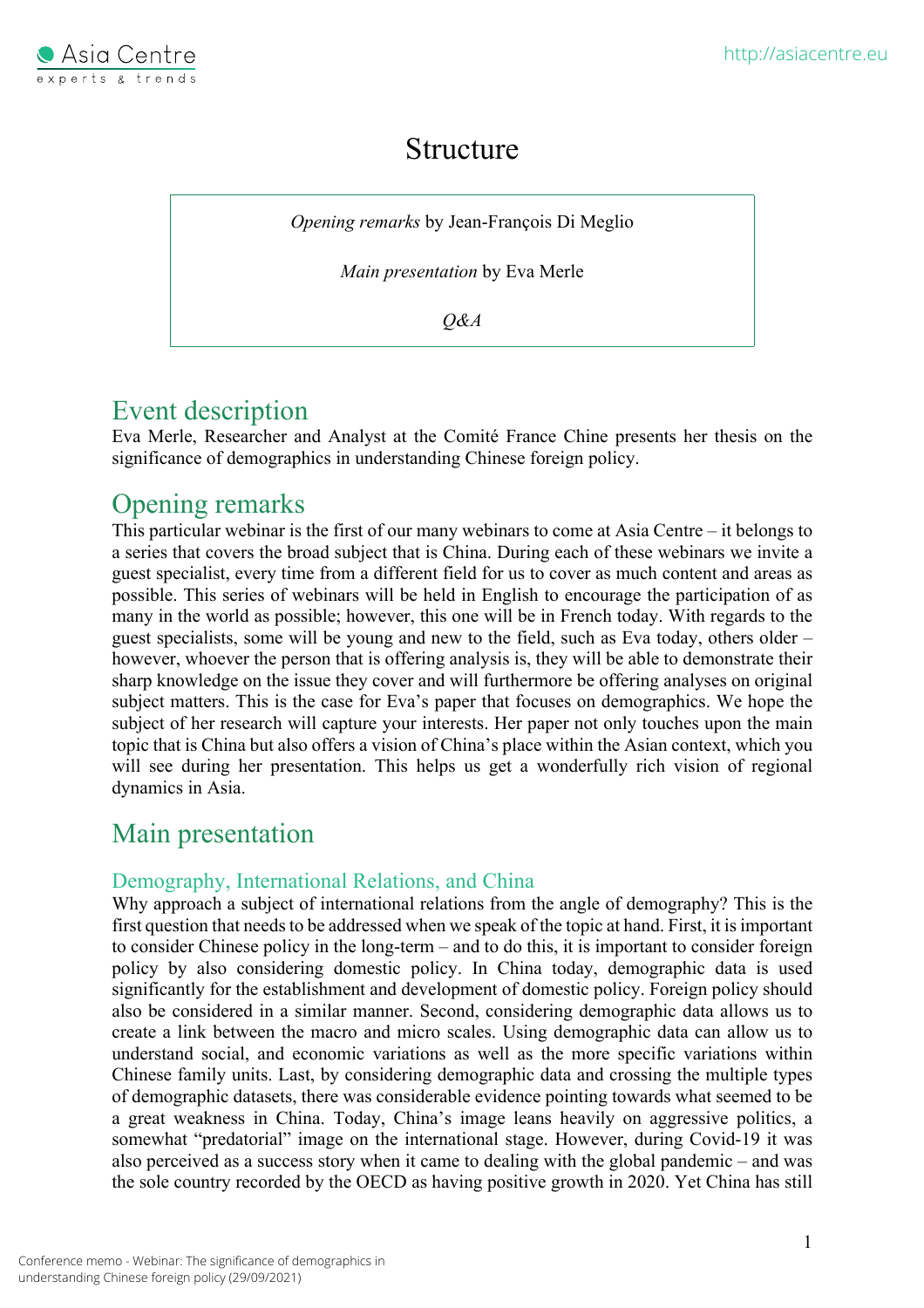

### Structure

*Opening remarks* by Jean-François Di Meglio

*Main presentation* by Eva Merle

*Q&A*

### Event description

Eva Merle, Researcher and Analyst at the Comité France Chine presents her thesis on the significance of demographics in understanding Chinese foreign policy.

### Opening remarks

This particular webinar is the first of our many webinars to come at Asia Centre – it belongs to a series that covers the broad subject that is China. During each of these webinars we invite a guest specialist, every time from a different field for us to cover as much content and areas as possible. This series of webinars will be held in English to encourage the participation of as many in the world as possible; however, this one will be in French today. With regards to the guest specialists, some will be young and new to the field, such as Eva today, others older – however, whoever the person that is offering analysis is, they will be able to demonstrate their sharp knowledge on the issue they cover and will furthermore be offering analyses on original subject matters. This is the case for Eva's paper that focuses on demographics. We hope the subject of her research will capture your interests. Her paper not only touches upon the main topic that is China but also offers a vision of China's place within the Asian context, which you will see during her presentation. This helps us get a wonderfully rich vision of regional dynamics in Asia.

## Main presentation

#### Demography, International Relations, and China

Why approach a subject of international relations from the angle of demography? This is the first question that needs to be addressed when we speak of the topic at hand. First, it is important to consider Chinese policy in the long-term – and to do this, it is important to consider foreign policy by also considering domestic policy. In China today, demographic data is used significantly for the establishment and development of domestic policy. Foreign policy should also be considered in a similar manner. Second, considering demographic data allows us to create a link between the macro and micro scales. Using demographic data can allow us to understand social, and economic variations as well as the more specific variations within Chinese family units. Last, by considering demographic data and crossing the multiple types of demographic datasets, there was considerable evidence pointing towards what seemed to be a great weakness in China. Today, China's image leans heavily on aggressive politics, a somewhat "predatorial" image on the international stage. However, during Covid-19 it was also perceived as a success story when it came to dealing with the global pandemic – and was the sole country recorded by the OECD as having positive growth in 2020. Yet China has still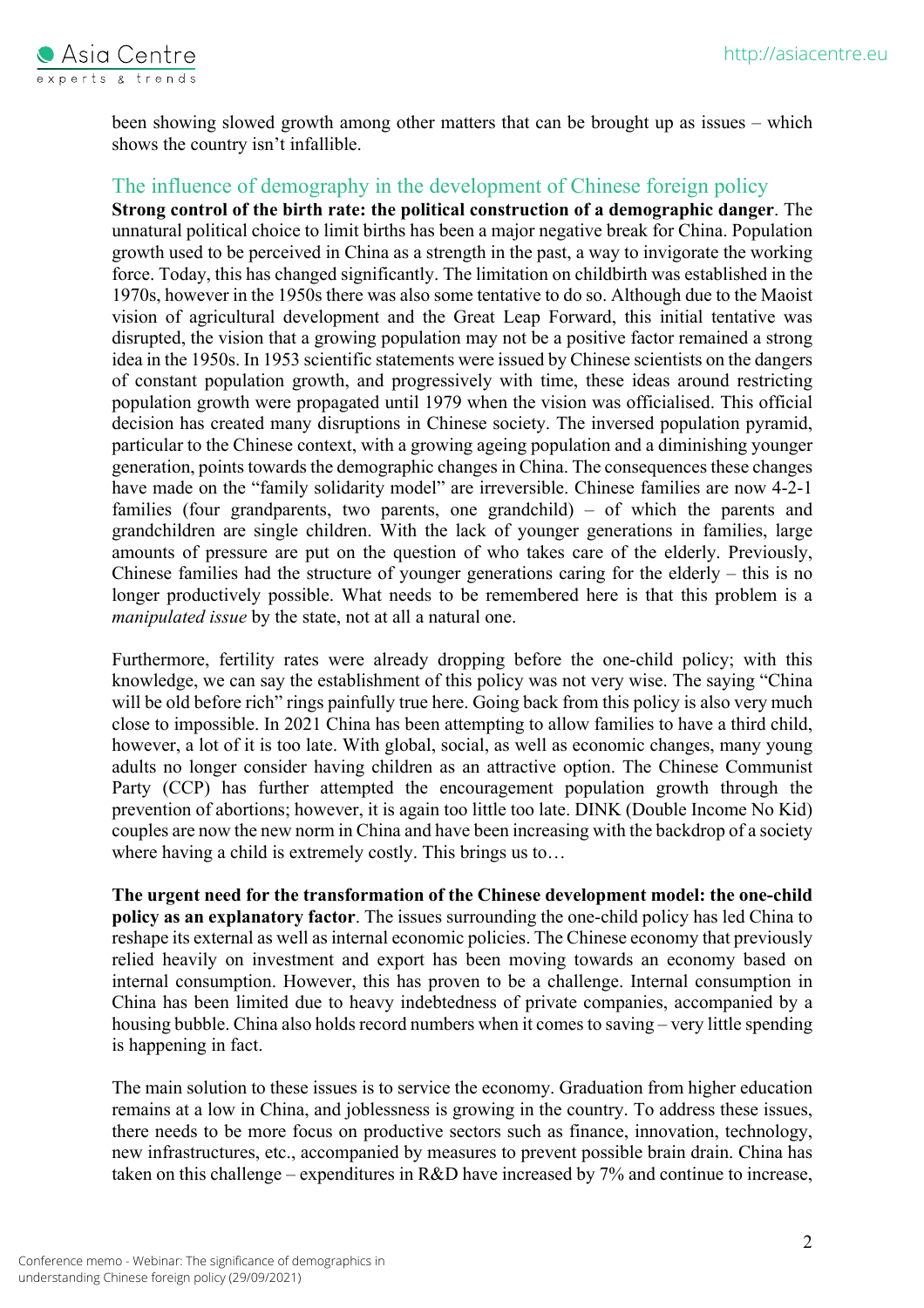

been showing slowed growth among other matters that can be brought up as issues – which shows the country isn't infallible.

#### The influence of demography in the development of Chinese foreign policy

**Strong control of the birth rate: the political construction of a demographic danger**. The unnatural political choice to limit births has been a major negative break for China. Population growth used to be perceived in China as a strength in the past, a way to invigorate the working force. Today, this has changed significantly. The limitation on childbirth was established in the 1970s, however in the 1950s there was also some tentative to do so. Although due to the Maoist vision of agricultural development and the Great Leap Forward, this initial tentative was disrupted, the vision that a growing population may not be a positive factor remained a strong idea in the 1950s. In 1953 scientific statements were issued by Chinese scientists on the dangers of constant population growth, and progressively with time, these ideas around restricting population growth were propagated until 1979 when the vision was officialised. This official decision has created many disruptions in Chinese society. The inversed population pyramid, particular to the Chinese context, with a growing ageing population and a diminishing younger generation, points towards the demographic changes in China. The consequences these changes have made on the "family solidarity model" are irreversible. Chinese families are now 4-2-1 families (four grandparents, two parents, one grandchild) – of which the parents and grandchildren are single children. With the lack of younger generations in families, large amounts of pressure are put on the question of who takes care of the elderly. Previously, Chinese families had the structure of younger generations caring for the elderly – this is no longer productively possible. What needs to be remembered here is that this problem is a *manipulated issue* by the state, not at all a natural one.

Furthermore, fertility rates were already dropping before the one-child policy; with this knowledge, we can say the establishment of this policy was not very wise. The saying "China will be old before rich" rings painfully true here. Going back from this policy is also very much close to impossible. In 2021 China has been attempting to allow families to have a third child, however, a lot of it is too late. With global, social, as well as economic changes, many young adults no longer consider having children as an attractive option. The Chinese Communist Party (CCP) has further attempted the encouragement population growth through the prevention of abortions; however, it is again too little too late. DINK (Double Income No Kid) couples are now the new norm in China and have been increasing with the backdrop of a society where having a child is extremely costly. This brings us to...

**The urgent need for the transformation of the Chinese development model: the one-child policy as an explanatory factor**. The issues surrounding the one-child policy has led China to reshape its external as well as internal economic policies. The Chinese economy that previously relied heavily on investment and export has been moving towards an economy based on internal consumption. However, this has proven to be a challenge. Internal consumption in China has been limited due to heavy indebtedness of private companies, accompanied by a housing bubble. China also holds record numbers when it comes to saving – very little spending is happening in fact.

The main solution to these issues is to service the economy. Graduation from higher education remains at a low in China, and joblessness is growing in the country. To address these issues, there needs to be more focus on productive sectors such as finance, innovation, technology, new infrastructures, etc., accompanied by measures to prevent possible brain drain. China has taken on this challenge – expenditures in R&D have increased by 7% and continue to increase,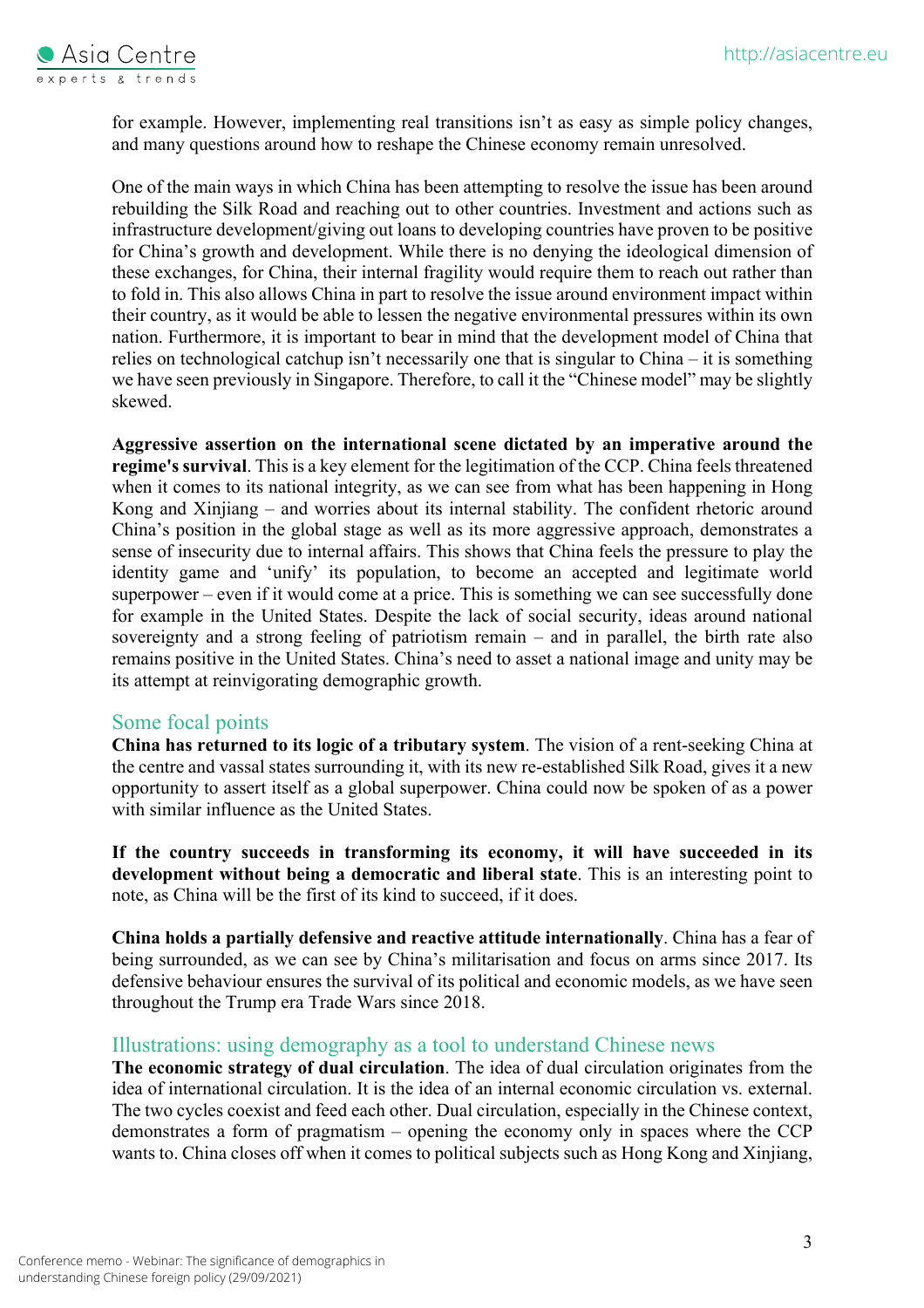

for example. However, implementing real transitions isn't as easy as simple policy changes, and many questions around how to reshape the Chinese economy remain unresolved.

One of the main ways in which China has been attempting to resolve the issue has been around rebuilding the Silk Road and reaching out to other countries. Investment and actions such as infrastructure development/giving out loans to developing countries have proven to be positive for China's growth and development. While there is no denying the ideological dimension of these exchanges, for China, their internal fragility would require them to reach out rather than to fold in. This also allows China in part to resolve the issue around environment impact within their country, as it would be able to lessen the negative environmental pressures within its own nation. Furthermore, it is important to bear in mind that the development model of China that relies on technological catchup isn't necessarily one that is singular to China – it is something we have seen previously in Singapore. Therefore, to call it the "Chinese model" may be slightly skewed.

**Aggressive assertion on the international scene dictated by an imperative around the regime's survival**. This is a key element for the legitimation of the CCP. China feels threatened when it comes to its national integrity, as we can see from what has been happening in Hong Kong and Xinjiang – and worries about its internal stability. The confident rhetoric around China's position in the global stage as well as its more aggressive approach, demonstrates a sense of insecurity due to internal affairs. This shows that China feels the pressure to play the identity game and 'unify' its population, to become an accepted and legitimate world superpower – even if it would come at a price. This is something we can see successfully done for example in the United States. Despite the lack of social security, ideas around national sovereignty and a strong feeling of patriotism remain – and in parallel, the birth rate also remains positive in the United States. China's need to asset a national image and unity may be its attempt at reinvigorating demographic growth.

#### Some focal points

**China has returned to its logic of a tributary system**. The vision of a rent-seeking China at the centre and vassal states surrounding it, with its new re-established Silk Road, gives it a new opportunity to assert itself as a global superpower. China could now be spoken of as a power with similar influence as the United States.

**If the country succeeds in transforming its economy, it will have succeeded in its development without being a democratic and liberal state**. This is an interesting point to note, as China will be the first of its kind to succeed, if it does.

**China holds a partially defensive and reactive attitude internationally**. China has a fear of being surrounded, as we can see by China's militarisation and focus on arms since 2017. Its defensive behaviour ensures the survival of its political and economic models, as we have seen throughout the Trump era Trade Wars since 2018.

#### Illustrations: using demography as a tool to understand Chinese news

**The economic strategy of dual circulation**. The idea of dual circulation originates from the idea of international circulation. It is the idea of an internal economic circulation vs. external. The two cycles coexist and feed each other. Dual circulation, especially in the Chinese context, demonstrates a form of pragmatism – opening the economy only in spaces where the CCP wants to. China closes off when it comes to political subjects such as Hong Kong and Xinjiang,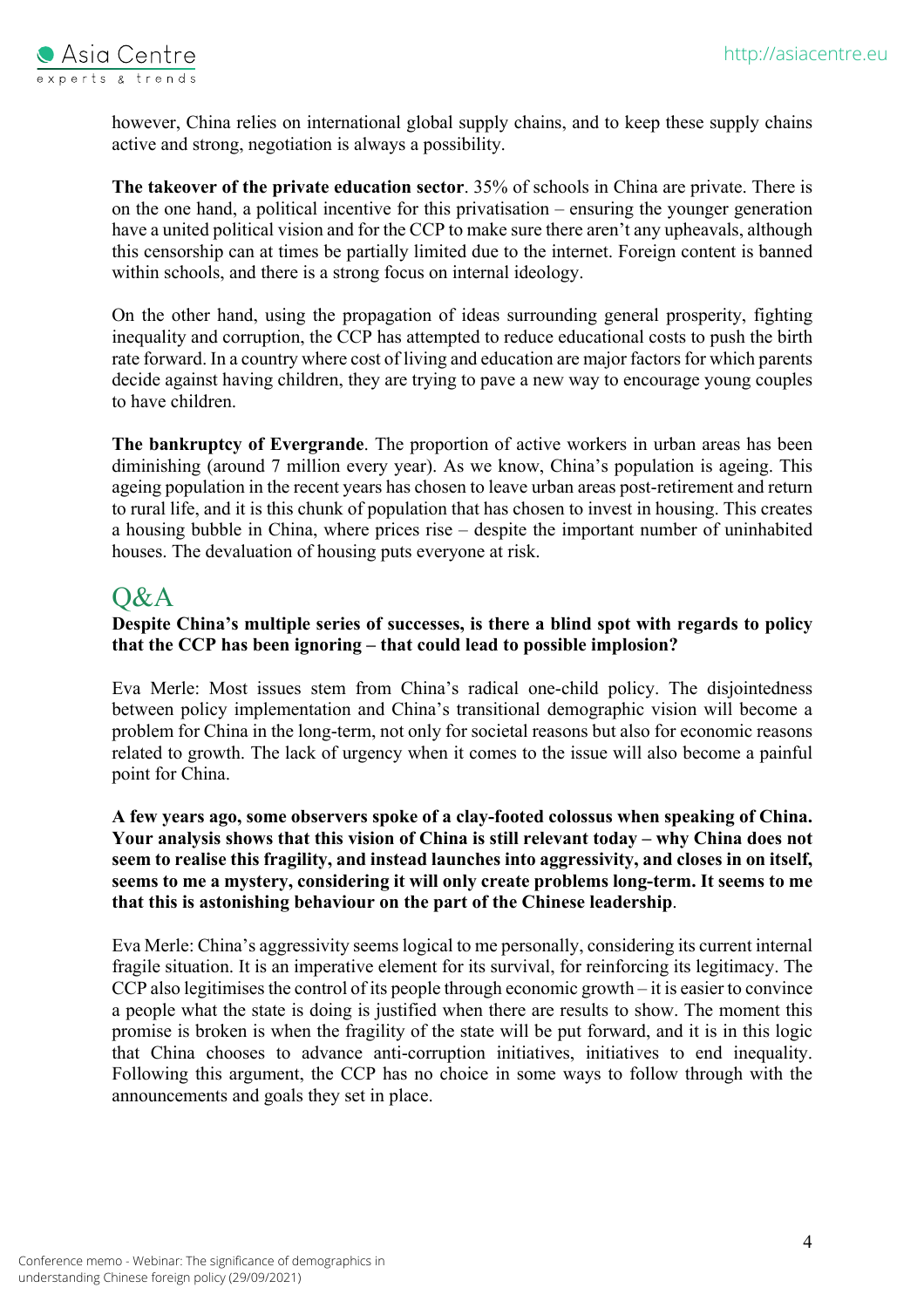

however, China relies on international global supply chains, and to keep these supply chains active and strong, negotiation is always a possibility.

**The takeover of the private education sector**. 35% of schools in China are private. There is on the one hand, a political incentive for this privatisation – ensuring the younger generation have a united political vision and for the CCP to make sure there aren't any upheavals, although this censorship can at times be partially limited due to the internet. Foreign content is banned within schools, and there is a strong focus on internal ideology.

On the other hand, using the propagation of ideas surrounding general prosperity, fighting inequality and corruption, the CCP has attempted to reduce educational costs to push the birth rate forward. In a country where cost of living and education are major factors for which parents decide against having children, they are trying to pave a new way to encourage young couples to have children.

**The bankruptcy of Evergrande**. The proportion of active workers in urban areas has been diminishing (around 7 million every year). As we know, China's population is ageing. This ageing population in the recent years has chosen to leave urban areas post-retirement and return to rural life, and it is this chunk of population that has chosen to invest in housing. This creates a housing bubble in China, where prices rise – despite the important number of uninhabited houses. The devaluation of housing puts everyone at risk.

### $O&A$

#### **Despite China's multiple series of successes, is there a blind spot with regards to policy that the CCP has been ignoring – that could lead to possible implosion?**

Eva Merle: Most issues stem from China's radical one-child policy. The disjointedness between policy implementation and China's transitional demographic vision will become a problem for China in the long-term, not only for societal reasons but also for economic reasons related to growth. The lack of urgency when it comes to the issue will also become a painful point for China.

#### **A few years ago, some observers spoke of a clay-footed colossus when speaking of China. Your analysis shows that this vision of China is still relevant today – why China does not seem to realise this fragility, and instead launches into aggressivity, and closes in on itself, seems to me a mystery, considering it will only create problems long-term. It seems to me that this is astonishing behaviour on the part of the Chinese leadership**.

Eva Merle: China's aggressivity seems logical to me personally, considering its current internal fragile situation. It is an imperative element for its survival, for reinforcing its legitimacy. The CCP also legitimises the control of its people through economic growth – it is easier to convince a people what the state is doing is justified when there are results to show. The moment this promise is broken is when the fragility of the state will be put forward, and it is in this logic that China chooses to advance anti-corruption initiatives, initiatives to end inequality. Following this argument, the CCP has no choice in some ways to follow through with the announcements and goals they set in place.